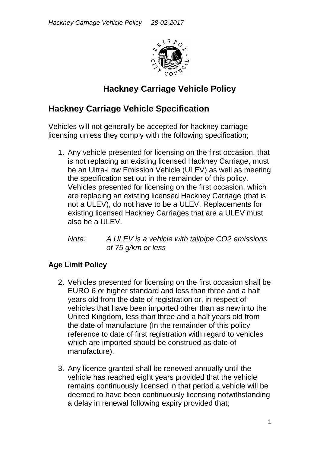

# **Hackney Carriage Vehicle Policy**

# **Hackney Carriage Vehicle Specification**

Vehicles will not generally be accepted for hackney carriage licensing unless they comply with the following specification;

1. Any vehicle presented for licensing on the first occasion, that is not replacing an existing licensed Hackney Carriage, must be an Ultra-Low Emission Vehicle (ULEV) as well as meeting the specification set out in the remainder of this policy. Vehicles presented for licensing on the first occasion, which are replacing an existing licensed Hackney Carriage (that is not a ULEV), do not have to be a ULEV. Replacements for existing licensed Hackney Carriages that are a ULEV must also be a ULEV.

*Note: A ULEV is a vehicle with tailpipe CO2 emissions of 75 g/km or less*

#### **Age Limit Policy**

- 2. Vehicles presented for licensing on the first occasion shall be EURO 6 or higher standard and less than three and a half years old from the date of registration or, in respect of vehicles that have been imported other than as new into the United Kingdom, less than three and a half years old from the date of manufacture (In the remainder of this policy reference to date of first registration with regard to vehicles which are imported should be construed as date of manufacture).
- 3. Any licence granted shall be renewed annually until the vehicle has reached eight years provided that the vehicle remains continuously licensed in that period a vehicle will be deemed to have been continuously licensing notwithstanding a delay in renewal following expiry provided that;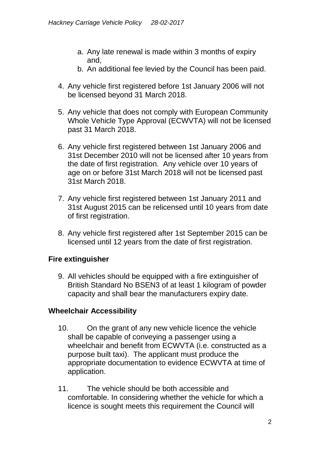- a. Any late renewal is made within 3 months of expiry and,
- b. An additional fee levied by the Council has been paid.
- 4. Any vehicle first registered before 1st January 2006 will not be licensed beyond 31 March 2018.
- 5. Any vehicle that does not comply with European Community Whole Vehicle Type Approval (ECWVTA) will not be licensed past 31 March 2018.
- 6. Any vehicle first registered between 1st January 2006 and 31st December 2010 will not be licensed after 10 years from the date of first registration. Any vehicle over 10 years of age on or before 31st March 2018 will not be licensed past 31st March 2018.
- 7. Any vehicle first registered between 1st January 2011 and 31st August 2015 can be relicensed until 10 years from date of first registration.
- 8. Any vehicle first registered after 1st September 2015 can be licensed until 12 years from the date of first registration.

#### **Fire extinguisher**

9. All vehicles should be equipped with a fire extinguisher of British Standard No BSEN3 of at least 1 kilogram of powder capacity and shall bear the manufacturers expiry date.

#### **Wheelchair Accessibility**

- 10. On the grant of any new vehicle licence the vehicle shall be capable of conveying a passenger using a wheelchair and benefit from ECWVTA (i.e. constructed as a purpose built taxi). The applicant must produce the appropriate documentation to evidence ECWVTA at time of application.
- 11. The vehicle should be both accessible and comfortable. In considering whether the vehicle for which a licence is sought meets this requirement the Council will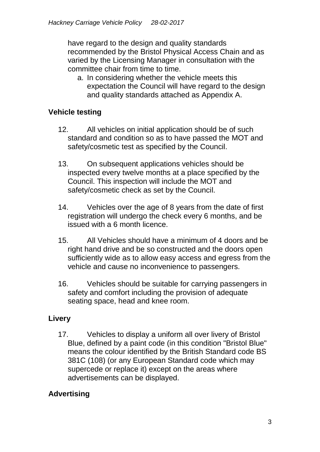have regard to the design and quality standards recommended by the Bristol Physical Access Chain and as varied by the Licensing Manager in consultation with the committee chair from time to time.

a. In considering whether the vehicle meets this expectation the Council will have regard to the design and quality standards attached as Appendix A.

# **Vehicle testing**

- 12. All vehicles on initial application should be of such standard and condition so as to have passed the MOT and safety/cosmetic test as specified by the Council.
- 13. On subsequent applications vehicles should be inspected every twelve months at a place specified by the Council. This inspection will include the MOT and safety/cosmetic check as set by the Council.
- 14. Vehicles over the age of 8 years from the date of first registration will undergo the check every 6 months, and be issued with a 6 month licence.
- 15. All Vehicles should have a minimum of 4 doors and be right hand drive and be so constructed and the doors open sufficiently wide as to allow easy access and egress from the vehicle and cause no inconvenience to passengers.
- 16. Vehicles should be suitable for carrying passengers in safety and comfort including the provision of adequate seating space, head and knee room.

# **Livery**

17. Vehicles to display a uniform all over livery of Bristol Blue, defined by a paint code (in this condition "Bristol Blue" means the colour identified by the British Standard code BS 381C (108) (or any European Standard code which may supercede or replace it) except on the areas where advertisements can be displayed.

# **Advertising**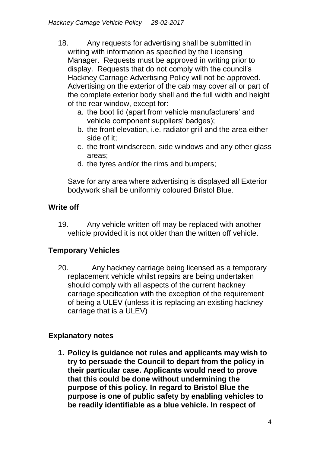- 18. Any requests for advertising shall be submitted in writing with information as specified by the Licensing Manager. Requests must be approved in writing prior to display. Requests that do not comply with the council's Hackney Carriage Advertising Policy will not be approved. Advertising on the exterior of the cab may cover all or part of the complete exterior body shell and the full width and height of the rear window, except for:
	- a. the boot lid (apart from vehicle manufacturers' and vehicle component suppliers' badges);
	- b. the front elevation, i.e. radiator grill and the area either side of it;
	- c. the front windscreen, side windows and any other glass areas;
	- d. the tyres and/or the rims and bumpers;

Save for any area where advertising is displayed all Exterior bodywork shall be uniformly coloured Bristol Blue.

# **Write off**

19. Any vehicle written off may be replaced with another vehicle provided it is not older than the written off vehicle.

# **Temporary Vehicles**

20. Any hackney carriage being licensed as a temporary replacement vehicle whilst repairs are being undertaken should comply with all aspects of the current hackney carriage specification with the exception of the requirement of being a ULEV (unless it is replacing an existing hackney carriage that is a ULEV)

#### **Explanatory notes**

**1. Policy is guidance not rules and applicants may wish to try to persuade the Council to depart from the policy in their particular case. Applicants would need to prove that this could be done without undermining the purpose of this policy. In regard to Bristol Blue the purpose is one of public safety by enabling vehicles to be readily identifiable as a blue vehicle. In respect of**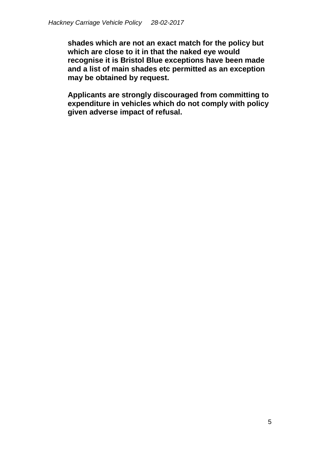**shades which are not an exact match for the policy but which are close to it in that the naked eye would recognise it is Bristol Blue exceptions have been made and a list of main shades etc permitted as an exception may be obtained by request.** 

**Applicants are strongly discouraged from committing to expenditure in vehicles which do not comply with policy given adverse impact of refusal.**